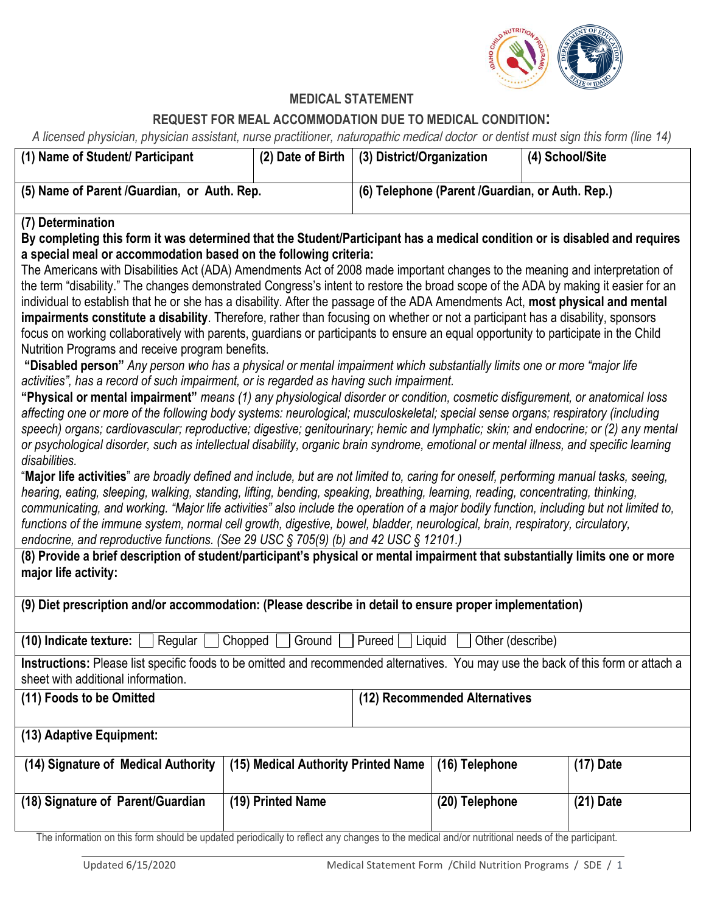

## **MEDICAL STATEMENT**

## **REQUEST FOR MEAL ACCOMMODATION DUE TO MEDICAL CONDITION:**

*A licensed physician, physician assistant, nurse practitioner,* naturopathic medical doctor *or dentist must sign this form (line 14)*

| (1) Name of Student/ Participant                                                                                                                                                                                                                                                                                                                                                                                                                                                                                                                                                                                                                                                                                                                                                                                                                                                                                                                                                                                                                                                                                                                                                                                                                                                                                                                                                                                                                                                                                                                                                                                                                                                                                                                                                                                                                                                                                                                                                                                                                                                                                                                                                                                                                                                                                 | (2) Date of Birth                   | (3) District/Organization                       |                               | (4) School/Site |
|------------------------------------------------------------------------------------------------------------------------------------------------------------------------------------------------------------------------------------------------------------------------------------------------------------------------------------------------------------------------------------------------------------------------------------------------------------------------------------------------------------------------------------------------------------------------------------------------------------------------------------------------------------------------------------------------------------------------------------------------------------------------------------------------------------------------------------------------------------------------------------------------------------------------------------------------------------------------------------------------------------------------------------------------------------------------------------------------------------------------------------------------------------------------------------------------------------------------------------------------------------------------------------------------------------------------------------------------------------------------------------------------------------------------------------------------------------------------------------------------------------------------------------------------------------------------------------------------------------------------------------------------------------------------------------------------------------------------------------------------------------------------------------------------------------------------------------------------------------------------------------------------------------------------------------------------------------------------------------------------------------------------------------------------------------------------------------------------------------------------------------------------------------------------------------------------------------------------------------------------------------------------------------------------------------------|-------------------------------------|-------------------------------------------------|-------------------------------|-----------------|
| (5) Name of Parent /Guardian, or Auth. Rep.                                                                                                                                                                                                                                                                                                                                                                                                                                                                                                                                                                                                                                                                                                                                                                                                                                                                                                                                                                                                                                                                                                                                                                                                                                                                                                                                                                                                                                                                                                                                                                                                                                                                                                                                                                                                                                                                                                                                                                                                                                                                                                                                                                                                                                                                      |                                     | (6) Telephone (Parent /Guardian, or Auth. Rep.) |                               |                 |
| (7) Determination<br>By completing this form it was determined that the Student/Participant has a medical condition or is disabled and requires<br>a special meal or accommodation based on the following criteria:<br>The Americans with Disabilities Act (ADA) Amendments Act of 2008 made important changes to the meaning and interpretation of<br>the term "disability." The changes demonstrated Congress's intent to restore the broad scope of the ADA by making it easier for an<br>individual to establish that he or she has a disability. After the passage of the ADA Amendments Act, most physical and mental<br>impairments constitute a disability. Therefore, rather than focusing on whether or not a participant has a disability, sponsors<br>focus on working collaboratively with parents, guardians or participants to ensure an equal opportunity to participate in the Child<br>Nutrition Programs and receive program benefits.<br>"Disabled person" Any person who has a physical or mental impairment which substantially limits one or more "major life<br>activities", has a record of such impairment, or is regarded as having such impairment.<br>"Physical or mental impairment" means (1) any physiological disorder or condition, cosmetic disfigurement, or anatomical loss<br>affecting one or more of the following body systems: neurological; musculoskeletal; special sense organs; respiratory (including<br>speech) organs; cardiovascular; reproductive; digestive; genitourinary; hemic and lymphatic; skin; and endocrine; or (2) any mental<br>or psychological disorder, such as intellectual disability, organic brain syndrome, emotional or mental illness, and specific learning<br>disabilities.<br>"Major life activities" are broadly defined and include, but are not limited to, caring for oneself, performing manual tasks, seeing,<br>hearing, eating, sleeping, walking, standing, lifting, bending, speaking, breathing, learning, reading, concentrating, thinking,<br>communicating, and working. "Major life activities" also include the operation of a major bodily function, including but not limited to,<br>functions of the immune system, normal cell growth, digestive, bowel, bladder, neurological, brain, respiratory, circulatory, |                                     |                                                 |                               |                 |
| endocrine, and reproductive functions. (See 29 USC § 705(9) (b) and 42 USC § 12101.)<br>(8) Provide a brief description of student/participant's physical or mental impairment that substantially limits one or more<br>major life activity:                                                                                                                                                                                                                                                                                                                                                                                                                                                                                                                                                                                                                                                                                                                                                                                                                                                                                                                                                                                                                                                                                                                                                                                                                                                                                                                                                                                                                                                                                                                                                                                                                                                                                                                                                                                                                                                                                                                                                                                                                                                                     |                                     |                                                 |                               |                 |
| (9) Diet prescription and/or accommodation: (Please describe in detail to ensure proper implementation)                                                                                                                                                                                                                                                                                                                                                                                                                                                                                                                                                                                                                                                                                                                                                                                                                                                                                                                                                                                                                                                                                                                                                                                                                                                                                                                                                                                                                                                                                                                                                                                                                                                                                                                                                                                                                                                                                                                                                                                                                                                                                                                                                                                                          |                                     |                                                 |                               |                 |
| Regular $\Box$ Chopped $\Box$<br>Ground $\Box$ Pureed $\Box$ Liquid<br>Other (describe)<br>$(10)$ Indicate texture: $\Box$                                                                                                                                                                                                                                                                                                                                                                                                                                                                                                                                                                                                                                                                                                                                                                                                                                                                                                                                                                                                                                                                                                                                                                                                                                                                                                                                                                                                                                                                                                                                                                                                                                                                                                                                                                                                                                                                                                                                                                                                                                                                                                                                                                                       |                                     |                                                 |                               |                 |
| Instructions: Please list specific foods to be omitted and recommended alternatives. You may use the back of this form or attach a<br>sheet with additional information.                                                                                                                                                                                                                                                                                                                                                                                                                                                                                                                                                                                                                                                                                                                                                                                                                                                                                                                                                                                                                                                                                                                                                                                                                                                                                                                                                                                                                                                                                                                                                                                                                                                                                                                                                                                                                                                                                                                                                                                                                                                                                                                                         |                                     |                                                 |                               |                 |
| (11) Foods to be Omitted                                                                                                                                                                                                                                                                                                                                                                                                                                                                                                                                                                                                                                                                                                                                                                                                                                                                                                                                                                                                                                                                                                                                                                                                                                                                                                                                                                                                                                                                                                                                                                                                                                                                                                                                                                                                                                                                                                                                                                                                                                                                                                                                                                                                                                                                                         |                                     |                                                 | (12) Recommended Alternatives |                 |
| (13) Adaptive Equipment:                                                                                                                                                                                                                                                                                                                                                                                                                                                                                                                                                                                                                                                                                                                                                                                                                                                                                                                                                                                                                                                                                                                                                                                                                                                                                                                                                                                                                                                                                                                                                                                                                                                                                                                                                                                                                                                                                                                                                                                                                                                                                                                                                                                                                                                                                         |                                     |                                                 |                               |                 |
| (14) Signature of Medical Authority                                                                                                                                                                                                                                                                                                                                                                                                                                                                                                                                                                                                                                                                                                                                                                                                                                                                                                                                                                                                                                                                                                                                                                                                                                                                                                                                                                                                                                                                                                                                                                                                                                                                                                                                                                                                                                                                                                                                                                                                                                                                                                                                                                                                                                                                              | (15) Medical Authority Printed Name |                                                 | (16) Telephone                | $(17)$ Date     |
| (18) Signature of Parent/Guardian                                                                                                                                                                                                                                                                                                                                                                                                                                                                                                                                                                                                                                                                                                                                                                                                                                                                                                                                                                                                                                                                                                                                                                                                                                                                                                                                                                                                                                                                                                                                                                                                                                                                                                                                                                                                                                                                                                                                                                                                                                                                                                                                                                                                                                                                                | (19) Printed Name                   |                                                 | (20) Telephone                | $(21)$ Date     |
| The information on this form should be updated periodically to reflect any changes to the medical and/or nutritional needs of the participant.                                                                                                                                                                                                                                                                                                                                                                                                                                                                                                                                                                                                                                                                                                                                                                                                                                                                                                                                                                                                                                                                                                                                                                                                                                                                                                                                                                                                                                                                                                                                                                                                                                                                                                                                                                                                                                                                                                                                                                                                                                                                                                                                                                   |                                     |                                                 |                               |                 |